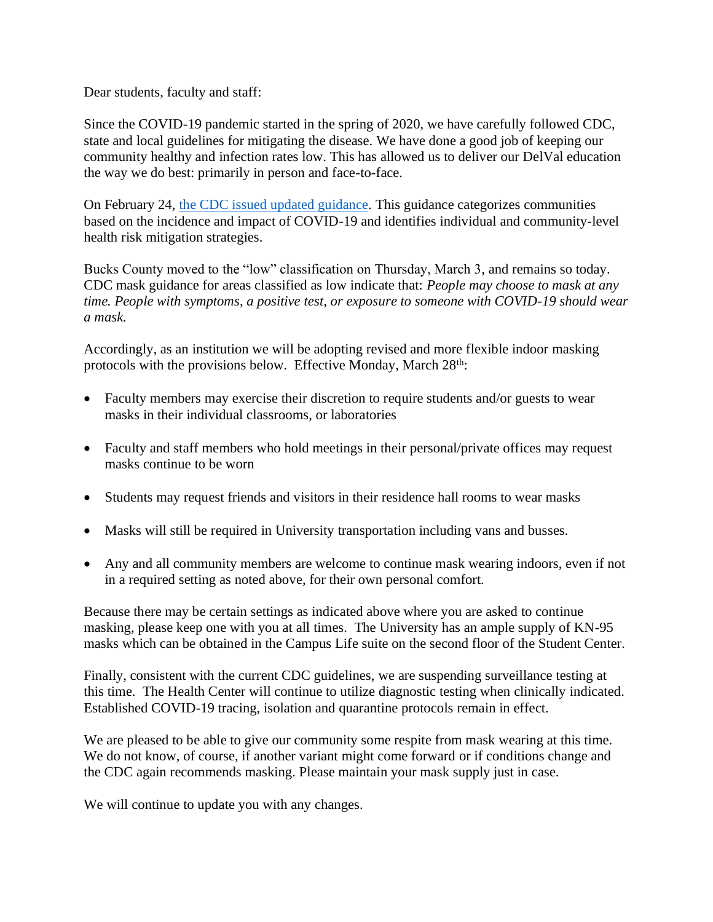Dear students, faculty and staff:

Since the COVID-19 pandemic started in the spring of 2020, we have carefully followed CDC, state and local guidelines for mitigating the disease. We have done a good job of keeping our community healthy and infection rates low. This has allowed us to deliver our DelVal education the way we do best: primarily in person and face-to-face.

On February 24, [the CDC issued updated guidance.](https://www.cdc.gov/coronavirus/2019-ncov/science/community-levels.html) This guidance categorizes communities based on the incidence and impact of COVID-19 and identifies individual and community-level health risk mitigation strategies.

Bucks County moved to the "low" classification on Thursday, March 3, and remains so today. CDC mask guidance for areas classified as low indicate that: *People may choose to mask at any time. People with symptoms, a positive test, or exposure to someone with COVID-19 should wear a mask.*

Accordingly, as an institution we will be adopting revised and more flexible indoor masking protocols with the provisions below. Effective Monday, March 28<sup>th</sup>:

- Faculty members may exercise their discretion to require students and/or guests to wear masks in their individual classrooms, or laboratories
- Faculty and staff members who hold meetings in their personal/private offices may request masks continue to be worn
- Students may request friends and visitors in their residence hall rooms to wear masks
- Masks will still be required in University transportation including vans and busses.
- Any and all community members are welcome to continue mask wearing indoors, even if not in a required setting as noted above, for their own personal comfort.

Because there may be certain settings as indicated above where you are asked to continue masking, please keep one with you at all times. The University has an ample supply of KN-95 masks which can be obtained in the Campus Life suite on the second floor of the Student Center.

Finally, consistent with the current CDC guidelines, we are suspending surveillance testing at this time. The Health Center will continue to utilize diagnostic testing when clinically indicated. Established COVID-19 tracing, isolation and quarantine protocols remain in effect.

We are pleased to be able to give our community some respite from mask wearing at this time. We do not know, of course, if another variant might come forward or if conditions change and the CDC again recommends masking. Please maintain your mask supply just in case.

We will continue to update you with any changes.